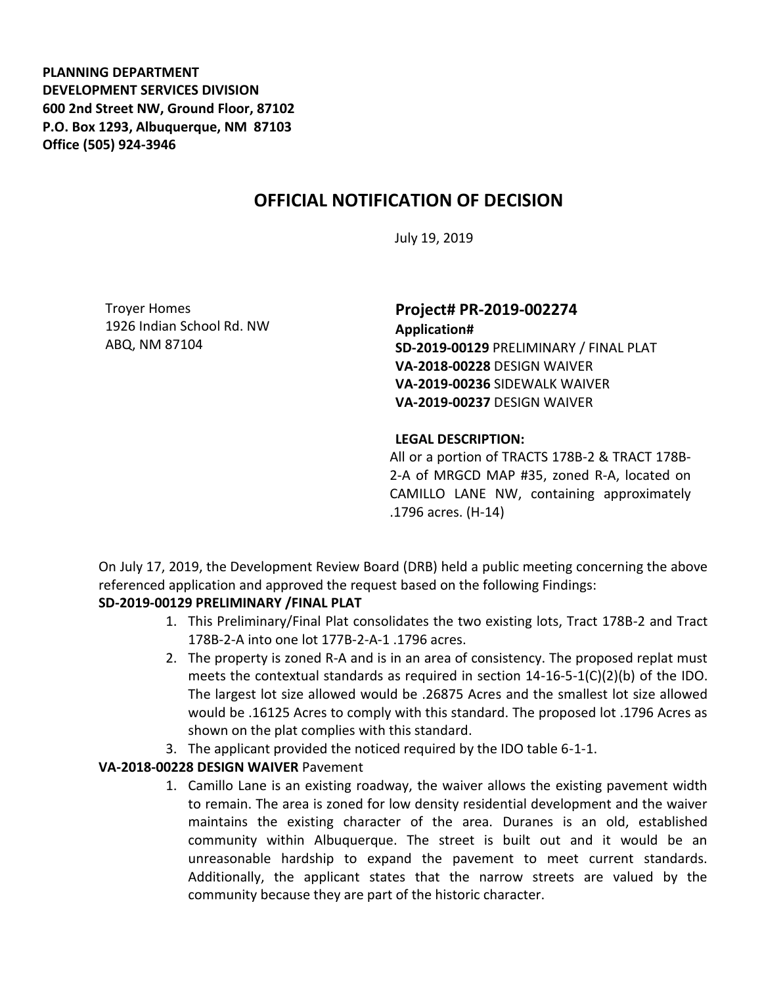**PLANNING DEPARTMENT DEVELOPMENT SERVICES DIVISION 600 2nd Street NW, Ground Floor, 87102 P.O. Box 1293, Albuquerque, NM 87103 Office (505) 924-3946** 

# **OFFICIAL NOTIFICATION OF DECISION**

July 19, 2019

Troyer Homes 1926 Indian School Rd. NW ABQ, NM 87104

## **Project# PR-2019-002274**

**Application# SD-2019-00129** PRELIMINARY / FINAL PLAT **VA-2018-00228** DESIGN WAIVER **VA-2019-00236** SIDEWALK WAIVER **VA-2019-00237** DESIGN WAIVER

#### **LEGAL DESCRIPTION:**

All or a portion of TRACTS 178B-2 & TRACT 178B-2-A of MRGCD MAP #35, zoned R-A, located on CAMILLO LANE NW, containing approximately .1796 acres. (H-14)

On July 17, 2019, the Development Review Board (DRB) held a public meeting concerning the above referenced application and approved the request based on the following Findings:

### **SD-2019-00129 PRELIMINARY /FINAL PLAT**

- 1. This Preliminary/Final Plat consolidates the two existing lots, Tract 178B-2 and Tract 178B-2-A into one lot 177B-2-A-1 .1796 acres.
- 2. The property is zoned R-A and is in an area of consistency. The proposed replat must meets the contextual standards as required in section  $14-16-5-1(C)(2)(b)$  of the IDO. The largest lot size allowed would be .26875 Acres and the smallest lot size allowed would be .16125 Acres to comply with this standard. The proposed lot .1796 Acres as shown on the plat complies with this standard.
- 3. The applicant provided the noticed required by the IDO table 6-1-1.

### **VA-2018-00228 DESIGN WAIVER** Pavement

1. Camillo Lane is an existing roadway, the waiver allows the existing pavement width to remain. The area is zoned for low density residential development and the waiver maintains the existing character of the area. Duranes is an old, established community within Albuquerque. The street is built out and it would be an unreasonable hardship to expand the pavement to meet current standards. Additionally, the applicant states that the narrow streets are valued by the community because they are part of the historic character.